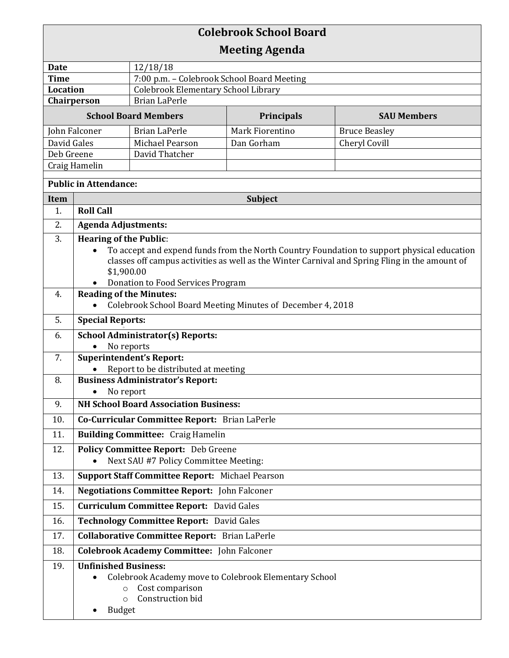## **Colebrook School Board Meeting Agenda Date** 12/18/18 **Time** 7:00 p.m. – Colebrook School Board Meeting **Location** | Colebrook Elementary School Library **Chairperson** | Brian LaPerle **School Board Members Principals SAU Members** John Falconer Brian LaPerle Mark Fiorentino Bruce Beasley David Gales Michael Pearson Dan Gorham Cheryl Covill Deb Greene | David Thatcher Craig Hamelin **Public in Attendance: Item Subject** Subject 1. **Roll Call** 2. **Agenda Adjustments:** 3. **Hearing of the Public**: To accept and expend funds from the North Country Foundation to support physical education classes off campus activities as well as the Winter Carnival and Spring Fling in the amount of \$1,900.00 Donation to Food Services Program 4. **Reading of the Minutes:**  Colebrook School Board Meeting Minutes of December 4, 2018 5. **Special Reports:** o 6. **School Administrator(s) Reports:**  • No reports 7. **Superintendent's Report:**  • Report to be distributed at meeting 8. **Business Administrator's Report:**  • No report 9. **NH School Board Association Business:**  10. **Co-Curricular Committee Report:** Brian LaPerle 11. **Building Committee:** Craig Hamelin 12. **Policy Committee Report:** Deb Greene • Next SAU #7 Policy Committee Meeting: 13. **Support Staff Committee Report:** Michael Pearson 14. **Negotiations Committee Report:** John Falconer 15. **Curriculum Committee Report:** David Gales 16. **Technology Committee Report:** David Gales 17. **Collaborative Committee Report:** Brian LaPerle 18. **Colebrook Academy Committee:** John Falconer 19. **Unfinished Business:**  Colebrook Academy move to Colebrook Elementary School o Cost comparison o Construction bid • Budget